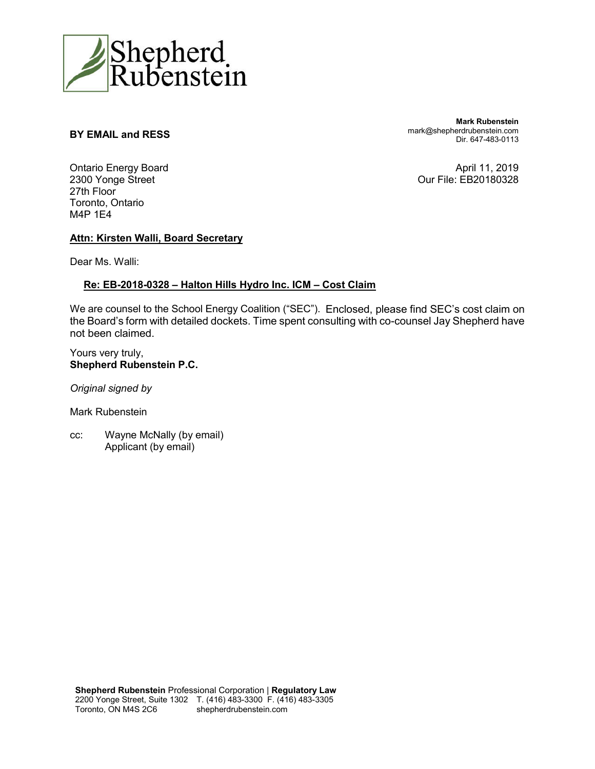

#### **BY EMAIL and RESS**

**Mark Rubenstein** mark@shepherdrubenstein.com Dir. 647-483-0113

Ontario Energy Board 2300 Yonge Street 27th Floor Toronto, Ontario M4P 1E4

April 11, 2019 Our File: EB20180328

#### **Attn: Kirsten Walli, Board Secretary**

Dear Ms. Walli:

#### **Re: EB-2018-0328 – Halton Hills Hydro Inc. ICM – Cost Claim**

We are counsel to the School Energy Coalition ("SEC"). Enclosed, please find SEC's cost claim on the Board's form with detailed dockets. Time spent consulting with co-counsel Jay Shepherd have not been claimed.

Yours very truly, **Shepherd Rubenstein P.C.**

*Original signed by*

Mark Rubenstein

cc: Wayne McNally (by email) Applicant (by email)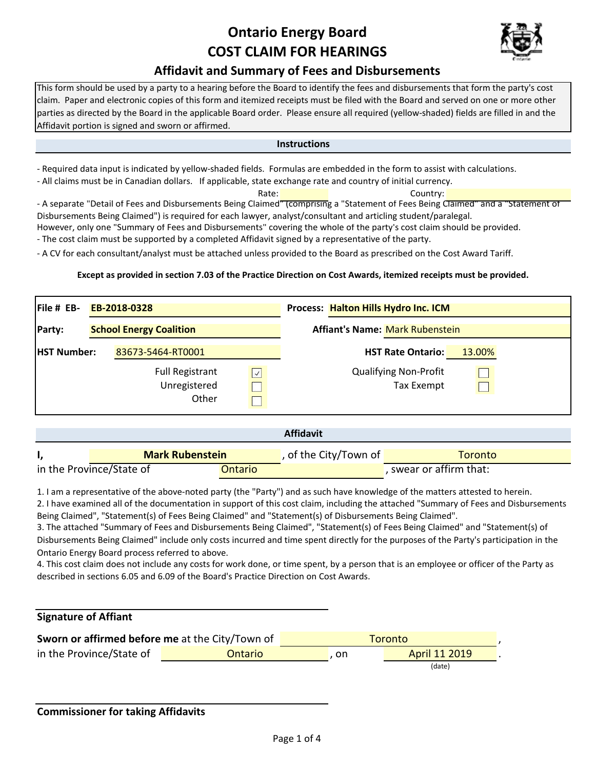## **Ontario Energy Board COST CLAIM FOR HEARINGS**



### **Affidavit and Summary of Fees and Disbursements**

This form should be used by a party to a hearing before the Board to identify the fees and disbursements that form the party's cost claim. Paper and electronic copies of this form and itemized receipts must be filed with the Board and served on one or more other parties as directed by the Board in the applicable Board order. Please ensure all required (yellow-shaded) fields are filled in and the Affidavit portion is signed and sworn or affirmed.

#### **Instructions**

- Required data input is indicated by yellow-shaded fields. Formulas are embedded in the form to assist with calculations.

- All claims must be in Canadian dollars. If applicable, state exchange rate and country of initial currency.

Rate: **Country:** Country: - A separate "Detail of Fees and Disbursements Being Claimed" (comprising a "Statement of Fees Being Claimed" and a "Statement of Disbursements Being Claimed") is required for each lawyer, analyst/consultant and articling student/paralegal.

However, only one "Summary of Fees and Disbursements" covering the whole of the party's cost claim should be provided.

- The cost claim must be supported by a completed Affidavit signed by a representative of the party.

- A CV for each consultant/analyst must be attached unless provided to the Board as prescribed on the Cost Award Tariff.

#### **Except as provided in section 7.03 of the Practice Direction on Cost Awards, itemized receipts must be provided.**

| $File # EB-$       |                                | EB-2018-0328                                    |                                        | Process: Halton Hills Hydro Inc. ICM              |        |  |  |
|--------------------|--------------------------------|-------------------------------------------------|----------------------------------------|---------------------------------------------------|--------|--|--|
| Party:             | <b>School Energy Coalition</b> |                                                 | <b>Affiant's Name: Mark Rubenstein</b> |                                                   |        |  |  |
| <b>HST Number:</b> |                                | 83673-5464-RT0001                               |                                        | <b>HST Rate Ontario:</b>                          | 13.00% |  |  |
|                    |                                | <b>Full Registrant</b><br>Unregistered<br>Other | $\sqrt{ }$                             | <b>Qualifying Non-Profit</b><br><b>Tax Exempt</b> |        |  |  |

|                          |  |                        |  | <b>Affidavit</b>        |         |  |  |  |
|--------------------------|--|------------------------|--|-------------------------|---------|--|--|--|
|                          |  | <b>Mark Rubenstein</b> |  | , of the City/Town of   | Toronto |  |  |  |
| in the Province/State of |  | Ontario                |  | , swear or affirm that: |         |  |  |  |

1. I am a representative of the above-noted party (the "Party") and as such have knowledge of the matters attested to herein.

2. I have examined all of the documentation in support of this cost claim, including the attached "Summary of Fees and Disbursements Being Claimed", "Statement(s) of Fees Being Claimed" and "Statement(s) of Disbursements Being Claimed".

3. The attached "Summary of Fees and Disbursements Being Claimed", "Statement(s) of Fees Being Claimed" and "Statement(s) of Disbursements Being Claimed" include only costs incurred and time spent directly for the purposes of the Party's participation in the Ontario Energy Board process referred to above.

4. This cost claim does not include any costs for work done, or time spent, by a person that is an employee or officer of the Party as described in sections 6.05 and 6.09 of the Board's Practice Direction on Cost Awards.

#### **Signature of Affiant**

| Sworn or affirmed before me at the City/Town of |         | Toronto |               |  |  |
|-------------------------------------------------|---------|---------|---------------|--|--|
| in the Province/State of                        | Ontario | on.     | April 11 2019 |  |  |
|                                                 |         |         | (date)        |  |  |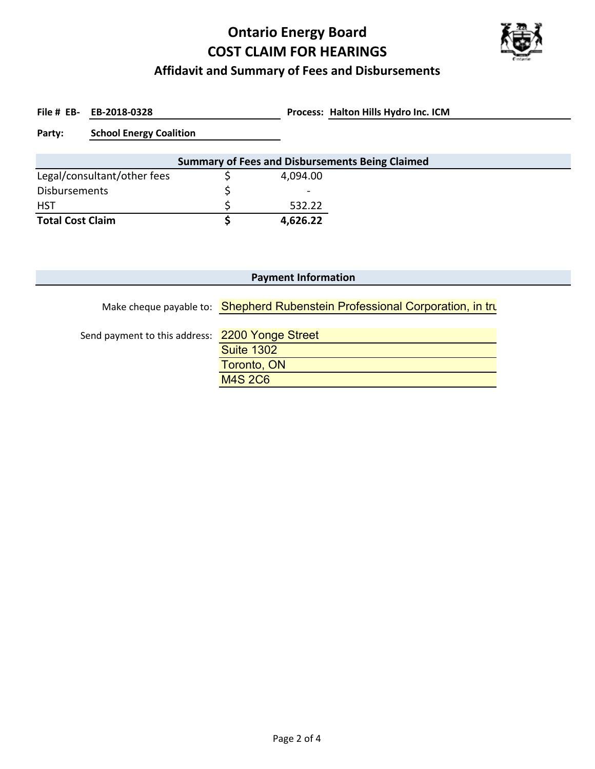# **Ontario Energy Board COST CLAIM FOR HEARINGS**



### **Affidavit and Summary of Fees and Disbursements**

File # EB- EB-2018-0328

**EB-2018-0328 Halton Hills Hydro Inc. ICM**

**Party: School Energy Coalition**

| <b>Summary of Fees and Disbursements Being Claimed</b> |  |          |  |  |  |  |  |
|--------------------------------------------------------|--|----------|--|--|--|--|--|
| Legal/consultant/other fees                            |  | 4,094.00 |  |  |  |  |  |
| Disbursements                                          |  | $\sim$   |  |  |  |  |  |
| <b>HST</b>                                             |  | 532.22   |  |  |  |  |  |
| <b>Total Cost Claim</b>                                |  | 4,626.22 |  |  |  |  |  |

| <b>Payment Information</b>                      |                                                                              |  |  |  |  |  |  |
|-------------------------------------------------|------------------------------------------------------------------------------|--|--|--|--|--|--|
|                                                 | Make cheque payable to: Shepherd Rubenstein Professional Corporation, in tru |  |  |  |  |  |  |
| Send payment to this address: 2200 Yonge Street |                                                                              |  |  |  |  |  |  |
|                                                 | <b>Suite 1302</b>                                                            |  |  |  |  |  |  |
|                                                 | Toronto, ON                                                                  |  |  |  |  |  |  |
|                                                 | <b>M4S 2C6</b>                                                               |  |  |  |  |  |  |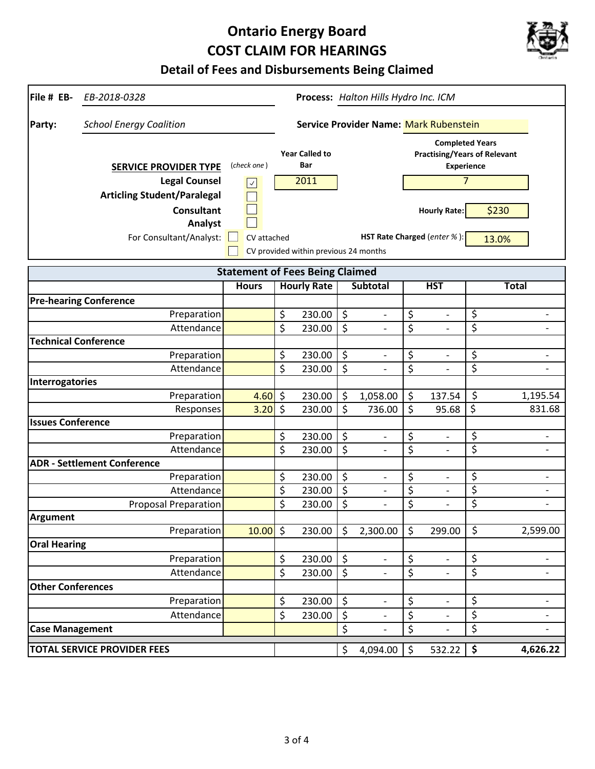## **Ontario Energy Board COST CLAIM FOR HEARINGS**



**Detail of Fees and Disbursements Being Claimed**

| File # EB-<br>EB-2018-0328               | Process: Halton Hills Hydro Inc. ICM          |                              |                                       |                                                                                                      |                          |                  |                                        |                                 |                          |
|------------------------------------------|-----------------------------------------------|------------------------------|---------------------------------------|------------------------------------------------------------------------------------------------------|--------------------------|------------------|----------------------------------------|---------------------------------|--------------------------|
| <b>School Energy Coalition</b><br>Party: | <b>Service Provider Name: Mark Rubenstein</b> |                              |                                       |                                                                                                      |                          |                  |                                        |                                 |                          |
| <b>SERVICE PROVIDER TYPE</b>             | (check one)                                   | <b>Year Called to</b><br>Bar |                                       | <b>Completed Years</b><br><b>Practising/Years of Relevant</b><br><b>Experience</b><br>$\overline{7}$ |                          |                  |                                        |                                 |                          |
| <b>Legal Counsel</b>                     | $\checkmark$                                  |                              | 2011                                  |                                                                                                      |                          |                  |                                        |                                 |                          |
| <b>Articling Student/Paralegal</b>       |                                               |                              |                                       |                                                                                                      |                          |                  |                                        |                                 |                          |
| <b>Consultant</b>                        |                                               |                              |                                       |                                                                                                      |                          |                  | <b>Hourly Rate:</b>                    |                                 | \$230                    |
| Analyst                                  |                                               |                              |                                       |                                                                                                      |                          |                  |                                        |                                 |                          |
| For Consultant/Analyst:                  | CV attached                                   |                              |                                       |                                                                                                      |                          |                  | <b>HST Rate Charged</b> (enter $\%$ ): |                                 | 13.0%                    |
|                                          |                                               |                              | CV provided within previous 24 months |                                                                                                      |                          |                  |                                        |                                 |                          |
|                                          | <b>Statement of Fees Being Claimed</b>        |                              |                                       |                                                                                                      |                          |                  |                                        |                                 |                          |
|                                          | <b>Hours</b>                                  |                              | <b>Hourly Rate</b>                    |                                                                                                      | <b>Subtotal</b>          |                  | <b>HST</b>                             |                                 | <b>Total</b>             |
| <b>Pre-hearing Conference</b>            |                                               |                              |                                       |                                                                                                      |                          |                  |                                        |                                 |                          |
| Preparation                              |                                               | \$                           | 230.00                                | \$                                                                                                   | $\overline{\phantom{a}}$ | \$               | $\overline{\phantom{a}}$               | \$                              | $\overline{\phantom{0}}$ |
| Attendance                               |                                               | \$                           | 230.00                                | \$                                                                                                   |                          | \$               |                                        | \$                              | $\overline{\phantom{0}}$ |
| <b>Technical Conference</b>              |                                               |                              |                                       |                                                                                                      |                          |                  |                                        |                                 |                          |
| Preparation                              |                                               | \$                           | 230.00                                | \$                                                                                                   | $\overline{\phantom{a}}$ | \$               | $\overline{\phantom{a}}$               | \$                              | $\overline{a}$           |
| Attendance                               |                                               | \$                           | 230.00                                | \$                                                                                                   |                          | \$               |                                        | \$                              |                          |
| Interrogatories                          |                                               |                              |                                       |                                                                                                      |                          |                  |                                        |                                 |                          |
| Preparation                              | 4.60                                          | $\zeta$                      | 230.00                                | \$                                                                                                   | 1,058.00                 | \$               | 137.54                                 | \$                              | 1,195.54                 |
| Responses                                | 3.20                                          | $\zeta$                      | 230.00                                | \$                                                                                                   | 736.00                   | \$               | 95.68                                  | \$                              | 831.68                   |
| <b>Issues Conference</b>                 |                                               |                              |                                       |                                                                                                      |                          |                  |                                        |                                 |                          |
| Preparation                              |                                               | \$                           | 230.00                                | \$                                                                                                   | $\overline{\phantom{a}}$ | \$               | $\qquad \qquad \blacksquare$           | \$                              | -                        |
| Attendance                               |                                               | \$                           | 230.00                                | $\overline{\xi}$                                                                                     |                          | \$               |                                        | \$                              | $\overline{\phantom{0}}$ |
| <b>ADR - Settlement Conference</b>       |                                               |                              |                                       |                                                                                                      |                          |                  |                                        |                                 |                          |
| Preparation                              |                                               | \$                           | 230.00                                | \$                                                                                                   | $\overline{a}$           | \$               | $\qquad \qquad -$                      | \$                              | $\overline{\phantom{0}}$ |
| Attendance                               |                                               | \$                           | 230.00                                | $\overline{\xi}$                                                                                     | $\overline{a}$           | $\overline{\xi}$ | $\overline{\phantom{0}}$               | \$                              | $\overline{\phantom{a}}$ |
| <b>Proposal Preparation</b>              |                                               | \$                           | 230.00                                | \$                                                                                                   |                          | \$               | $\overline{\phantom{0}}$               | \$                              | $\overline{\phantom{0}}$ |
| <b>Argument</b>                          |                                               |                              |                                       |                                                                                                      |                          |                  |                                        |                                 |                          |
| Preparation                              | $10.00$ \$                                    |                              | 230.00                                | $\zeta$                                                                                              | 2,300.00                 | \$               | 299.00                                 | \$                              | 2,599.00                 |
| <b>Oral Hearing</b>                      |                                               |                              |                                       |                                                                                                      |                          |                  |                                        |                                 |                          |
| Preparation                              |                                               | \$                           | 230.00                                | \$                                                                                                   | $\overline{\phantom{a}}$ | \$               | $\overline{\phantom{a}}$               | \$                              | $\overline{\phantom{0}}$ |
| Attendance                               |                                               | \$                           | 230.00                                | \$                                                                                                   |                          | \$               | $\overline{\phantom{0}}$               | \$                              | $\overline{\phantom{0}}$ |
| <b>Other Conferences</b>                 |                                               |                              |                                       |                                                                                                      |                          |                  |                                        |                                 |                          |
| Preparation                              |                                               | \$                           | 230.00                                | \$                                                                                                   |                          | \$               | $\overline{\phantom{0}}$               | \$                              |                          |
| Attendance                               |                                               | \$                           | 230.00                                | $\overline{\xi}$                                                                                     |                          | \$               |                                        | \$                              | -                        |
| <b>Case Management</b>                   |                                               |                              |                                       | \$                                                                                                   | $\overline{a}$           | \$               | $\overline{a}$                         | \$                              | $\overline{a}$           |
| <b>TOTAL SERVICE PROVIDER FEES</b>       |                                               |                              |                                       | \$                                                                                                   | 4,094.00                 | $\zeta$          | 532.22                                 | $\overline{\boldsymbol{\zeta}}$ | 4,626.22                 |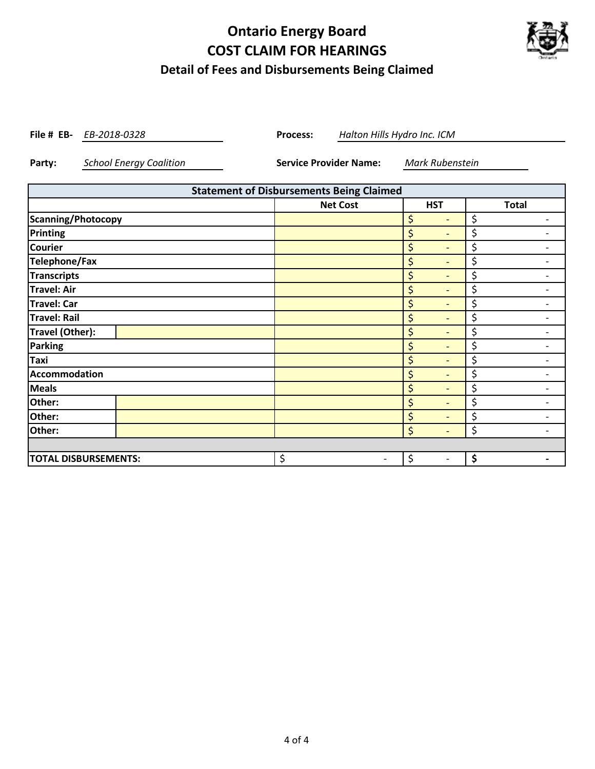### **Ontario Energy Board COST CLAIM FOR HEARINGS Detail of Fees and Disbursements Being Claimed**



**File # EB-** *EB-2018-0328* **Process:** 

*EB-2018-0328 Halton Hills Hydro Inc. ICM*

**Party:** *School Energy Coalition* **Service Provider Name:** *Mark Rubenstein*

| <b>Statement of Disbursements Being Claimed</b> |                 |                                |              |  |  |  |  |  |
|-------------------------------------------------|-----------------|--------------------------------|--------------|--|--|--|--|--|
|                                                 | <b>Net Cost</b> | <b>HST</b>                     | <b>Total</b> |  |  |  |  |  |
| Scanning/Photocopy                              |                 | \$                             | \$           |  |  |  |  |  |
| Printing                                        |                 | \$<br>$\overline{\phantom{0}}$ | \$           |  |  |  |  |  |
| <b>Courier</b>                                  |                 | \$<br>$\qquad \qquad$          | \$           |  |  |  |  |  |
| <b>Telephone/Fax</b>                            |                 | \$<br>$\qquad \qquad$          | \$           |  |  |  |  |  |
| <b>Transcripts</b>                              |                 | \$<br>$\qquad \qquad$          | \$           |  |  |  |  |  |
| <b>Travel: Air</b>                              |                 | \$<br>$\overline{\phantom{0}}$ | \$           |  |  |  |  |  |
| <b>Travel: Car</b>                              |                 | \$<br>$\overline{\phantom{0}}$ | \$           |  |  |  |  |  |
| <b>Travel: Rail</b>                             |                 | \$<br>$\qquad \qquad$          | \$           |  |  |  |  |  |
| Travel (Other):                                 |                 | \$<br>$\qquad \qquad$          | \$           |  |  |  |  |  |
| <b>Parking</b>                                  |                 | \$<br>$\overline{a}$           | \$           |  |  |  |  |  |
| Taxi                                            |                 | \$                             | \$           |  |  |  |  |  |
| <b>Accommodation</b>                            |                 | \$<br>$\overline{\phantom{0}}$ | \$           |  |  |  |  |  |
| <b>Meals</b>                                    |                 | \$<br>$\overline{\phantom{a}}$ | \$           |  |  |  |  |  |
| Other:                                          |                 | \$<br>$\overline{\phantom{0}}$ | \$           |  |  |  |  |  |
| Other:                                          |                 | \$<br>$\overline{\phantom{0}}$ | \$           |  |  |  |  |  |
| Other:                                          |                 | \$<br>$\overline{\phantom{0}}$ | \$           |  |  |  |  |  |
|                                                 |                 |                                |              |  |  |  |  |  |
| <b>TOTAL DISBURSEMENTS:</b>                     | \$              | \$                             | \$           |  |  |  |  |  |